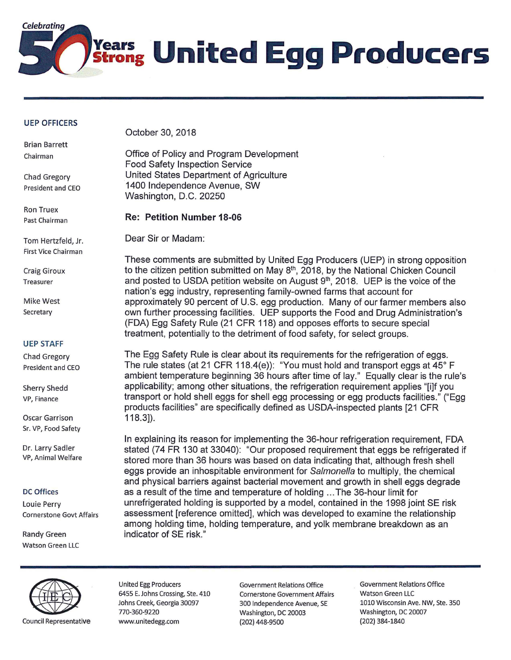

## **UEP OFFICERS**

Brian Barrett Chairman

Chad Gregory President and CEO

Ron Truex Past Chairman

Tom Hertzfeld, Jr. First Vice Chairman

Craig Giroux Treasurer

Mike West **Secretary** 

## UEP STAFF

Chad Gregory President and CEO

Sherry Shedd VP, Finance

Oscar Garrison Sr. VP, Food Safety

Dr. Larry Sadler VP, Animal Welfare

## DC Offices

Louie Perry Cornerstone Govt Affairs

Randy Green Watson Green LLC October 30, 2018

Office of Policy and Program Development Food Safety Inspection Service United States Department of Agriculture 1400 Independence Avenue, SW Washington, D.C. 20250

## **Re: Petition Number 18-06**

Dear Sir or Madam:

These comments are submitted by United Egg Producers (UEP) in strong opposition to the citizen petition submitted on May 8<sup>th</sup>, 2018, by the National Chicken Council and posted to USDA petition website on August  $9<sup>th</sup>$ , 2018. UEP is the voice of the nation's egg industry, representing family-owned farms that account for approximately 90 percent of U.S. egg production. Many of our farmer members also own further processing facilities. UEP supports the Food and Drug Administration's (FDA) Egg Safety Rule (21 CFR 118) and opposes efforts to secure special treatment, potentially to the detriment of food safety, for select groups.

The Egg Safety Rule is clear about its requirements for the refrigeration of eggs. The rule states (at 21 CFR 118.4(e)): "You must hold and transport eggs at 45° F ambient temperature beginning 36 hours after time of lay." Equally clear is the rule's applicability; among other situations, the refrigeration requirement applies "[i]f you transport or hold shell eggs for shell egg processing or egg products facilities." ("Egg products facilities" are specifically defined as USDA-inspected plants [21 CFR 118.3]).

In explaining its reason for implementing the 36-hour refrigeration requirement, FDA stated (74 FR 130 at 33040): "Our proposed requirement that eggs be refrigerated if stored more than 36 hours was based on data indicating that, although fresh shell eggs provide an inhospitable environment for Salmonella to multiply, the chemical and physical barriers against bacterial movement and growth in shell eggs degrade as a result of the time and temperature of holding ... The 36-hour limit for unrefrigerated holding is supported by a model, contained in the 1998 joint SE risk assessment [reference omitted], which was developed to examine the relationship among holding time, holding temperature, and yolk membrane breakdown as an indicator of SE risk."



6455 E. Johns Crossing, Ste. 410 Cornerstone Government Affairs Watson Green LLC 770-360-9220 Washington, DC 20003 Washington, DC 20007 Council Representative www.unitedegg.com (202) 448-9500 (202) 384-1840

United Egg Producers **Government Relations Office** Government Relations Office Johns Creek, Georgia 30097 300 Independence Avenue, SE 1010 Wisconsin Ave. **NW,** Ste. 350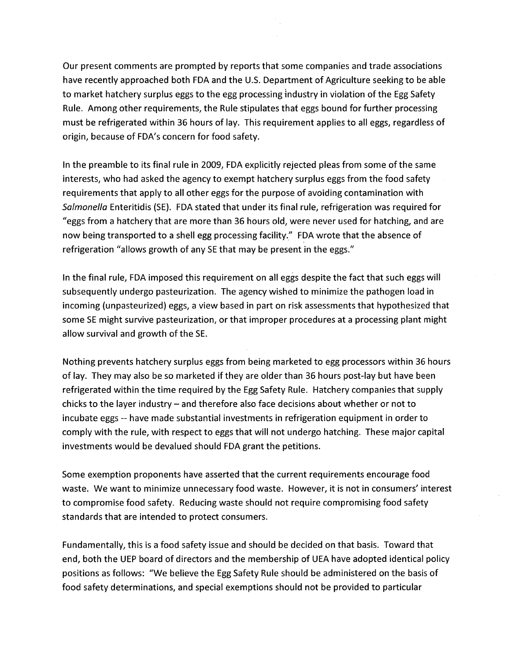Our present comments are prompted by reports that some companies and trade associations have recently approached both FDA and the U.S. Department of Agriculture seeking to be able to market hatchery surplus eggs to the egg processing industry in violation of the Egg Safety Rule. Among other requirements, the Rule stipulates that eggs bound for further processing must be refrigerated within 36 hours of lay. This requirement applies to all eggs, regardless of origin, because of FDA's concern for food safety.

In the preamble to its final rule in 2009, FDA explicitly rejected pleas from some of the same interests, who had asked the agency to exempt hatchery surplus eggs from the food safety requirements that apply to all other eggs for the purpose of avoiding contamination with Salmonella Enteritidis (SE). FDA stated that under its final rule, refrigeration was required for "eggs from a hatchery that are more than 36 hours old, were never used for hatching, and are now being transported to a shell egg processing facility." FDA wrote that the absence of refrigeration "allows growth of any SE that may be present in the eggs."

In the final rule, FDA imposed this requirement on all eggs despite the fact that such eggs will subsequently undergo pasteurization. The agency wished to minimize the pathogen load in incoming (unpasteurized) eggs, a view based in part on risk assessments that hypothesized that some SE might survive pasteurization, or that improper procedures at a processing plant might allow survival and growth of the SE.

Nothing prevents hatchery surplus eggs from being marketed to egg processors within 36 hours of lay. They may also be so marketed if they are older than 36 hours post-lay but have been refrigerated within the time required by the Egg Safety Rule. Hatchery companies that supply chicks to the layer industry - and therefore also face decisions about whether or not to incubate eggs -- have made substantial investments in refrigeration equipment in order to comply with the rule, with respect to eggs that will not undergo hatching. These major capital investments would be devalued should FDA grant the petitions.

Some exemption proponents have asserted that the current requirements encourage food waste. We want to minimize unnecessary food waste. However, it is not in consumers' interest to compromise food safety. Reducing waste should not require compromising food safety standards that are intended to protect consumers.

Fundamentally, this is a food safety issue and should be decided on that basis. Toward that end, both the UEP board of directors and the membership of UEA have adopted identical policy positions as follows: "We believe the Egg Safety Rule should be administered on the basis of food safety determinations, and special exemptions should not be provided to particular